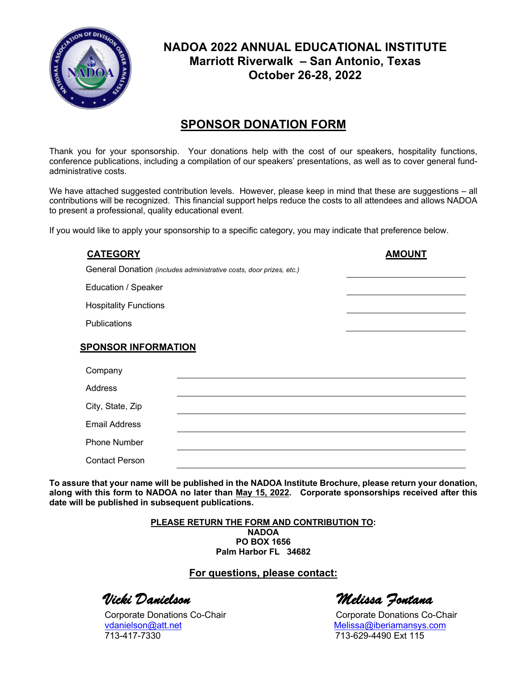

## **NADOA 2022 ANNUAL EDUCATIONAL INSTITUTE Marriott Riverwalk – San Antonio, Texas October 26-28, 2022**

## **SPONSOR DONATION FORM**

Thank you for your sponsorship. Your donations help with the cost of our speakers, hospitality functions, conference publications, including a compilation of our speakers' presentations, as well as to cover general fundadministrative costs.

We have attached suggested contribution levels. However, please keep in mind that these are suggestions – all contributions will be recognized. This financial support helps reduce the costs to all attendees and allows NADOA to present a professional, quality educational event*.* 

If you would like to apply your sponsorship to a specific category, you may indicate that preference below.

| <b>CATEGORY</b>                                                     | <b>AMOUNT</b> |
|---------------------------------------------------------------------|---------------|
| General Donation (includes administrative costs, door prizes, etc.) |               |
| Education / Speaker                                                 |               |
| <b>Hospitality Functions</b>                                        |               |
| <b>Publications</b>                                                 |               |
| <b>SPONSOR INFORMATION</b>                                          |               |
| Company                                                             |               |
| Address                                                             |               |
| City, State, Zip                                                    |               |
| <b>Email Address</b>                                                |               |
| <b>Phone Number</b>                                                 |               |
| <b>Contact Person</b>                                               |               |

**To assure that your name will be published in the NADOA Institute Brochure, please return your donation, along with this form to NADOA no later than May 15, 2022. Corporate sponsorships received after this date will be published in subsequent publications.**

> **PLEASE RETURN THE FORM AND CONTRIBUTION TO: NADOA PO BOX 1656 Palm Harbor FL 34682**

## **For questions, please contact:**

Corporate Donations Co-Chair Corporate Donations Co-Chair vdanielson@att.net Melissa@iberiamansys.com 713-417-7330 713-629-4490 Ext 115

*Vicki Danielson Melissa Fontana*